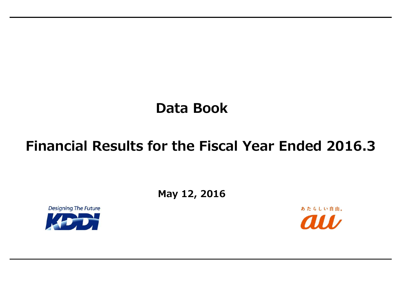## **Data Book**

**May 12, 2016**





# **Financial Results for the Fiscal Year Ended 2016.3**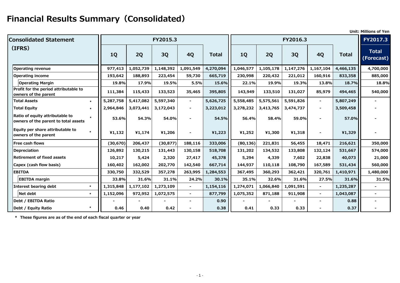## **Financial Results Summary(Consolidated)**

|                                                                         |           |           |           |                |           |           |           |           |                |              | <b>Unit: Millions of Yen</b> |
|-------------------------------------------------------------------------|-----------|-----------|-----------|----------------|-----------|-----------|-----------|-----------|----------------|--------------|------------------------------|
| <b>Consolidated Statement</b>                                           |           |           | FY2015.3  |                |           |           |           | FY2016.3  |                |              | <b>FY2017.3</b>              |
| (IFRS)                                                                  | <b>1Q</b> | 2Q        | 3Q        | <b>4Q</b>      | Total     | <b>1Q</b> | 2Q        | 3Q        | <b>4Q</b>      | <b>Total</b> | <b>Total</b><br>(Forecast)   |
| <b>Operating revenue</b>                                                | 977,413   | 1,052,739 | 1,148,392 | 1,091,549      | 4,270,094 | 1,046,577 | 1,105,178 | 1,147,276 | 1,167,104      | 4,466,135    | 4,700,000                    |
| <b>Operating income</b>                                                 | 193,642   | 188,893   | 223,454   | 59,730         | 665,719   | 230,998   | 220,432   | 221,012   | 160,916        | 833,358      | 885,000                      |
| <b>Operating Margin</b>                                                 | 19.8%     | 17.9%     | 19.5%     | 5.5%           | 15.6%     | 22.1%     | 19.9%     | 19.3%     | 13.8%          | 18.7%        | 18.8%                        |
| Profit for the period attributable to<br>owners of the parent           | 111,384   | 115,433   | 133,523   | 35,465         | 395,805   | 143,949   | 133,510   | 131,027   | 85,979         | 494,465      | 540,000                      |
| <b>Total Assets</b><br>$\star$                                          | 5,287,758 | 5,417,082 | 5,597,340 | $\blacksquare$ | 5,626,725 | 5,558,485 | 5,575,561 | 5,591,826 | $\blacksquare$ | 5,807,249    |                              |
| <b>Total Equity</b><br>$\star$                                          | 2,964,846 | 3,073,441 | 3,172,043 | $\blacksquare$ | 3,223,012 | 3,278,232 | 3,413,765 | 3,474,737 |                | 3,509,458    |                              |
| Ratio of equity attributable to<br>owners of the parent to total assets | 53.6%     | 54.3%     | 54.0%     |                | 54.5%     | 56.4%     | 58.4%     | 59.0%     |                | 57.0%        |                              |
| Equity per share attributable to<br>owners of the parent                | 41,132    | 41,174    | ¥1,206    |                | ¥1,223    | ¥1,252    | ¥1,300    | ¥1,318    |                | ¥1,329       |                              |
| <b>Free cash flows</b>                                                  | (30, 670) | 206,437   | (30, 877) | 188,116        | 333,006   | (80, 136) | 221,831   | 56,455    | 18,471         | 216,621      | 350,000                      |
| <b>Depreciation</b>                                                     | 126,892   | 130,215   | 131,443   | 130,158        | 518,708   | 131,202   | 134,532   | 133,808   | 132,124        | 531,667      | 574,000                      |
| <b>Retirement of fixed assets</b>                                       | 10,217    | 5,424     | 2,320     | 27,417         | 45,378    | 5,294     | 4,339     | 7,602     | 22,838         | 40,073       | 21,000                       |
| Capex (cash flow basis)                                                 | 160,402   | 162,002   | 202,770   | 142,540        | 667,714   | 144,937   | 110,118   | 108,790   | 167,589        | 531,434      | 560,000                      |
| <b>EBITDA</b>                                                           | 330,750   | 332,529   | 357,278   | 263,995        | 1,284,553 | 367,495   | 360,293   | 362,421   | 320,761        | 1,410,971    | 1,480,000                    |
| <b>EBITDA margin</b>                                                    | 33.8%     | 31.6%     | 31.1%     | 24.2%          | 30.1%     | 35.1%     | 32.6%     | 31.6%     | 27.5%          | 31.6%        | 31.5%                        |
| <b>Interest bearing debt</b><br>$\star$                                 | 1,315,848 | 1,177,102 | 1,273,109 | $\blacksquare$ | 1,154,116 | 1,274,071 | 1,066,840 | 1,091,591 | $\sim$         | 1,235,287    |                              |
| Net debt<br>$\star$                                                     | 1,152,096 | 972,952   | 1,072,575 | $\blacksquare$ | 877,799   | 1,075,352 | 871,188   | 911,908   | $\sim$         | 1,043,087    |                              |
| Debt / EBITDA Ratio                                                     |           |           |           |                | 0.90      |           |           |           |                | 0.88         |                              |
| Debt / Equity Ratio                                                     | 0.46      | 0.40      | 0.42      |                | 0.38      | 0.41      | 0.33      | 0.33      |                | 0.37         | $\blacksquare$               |

**\* These figures are as of the end of each fiscal quarter or year**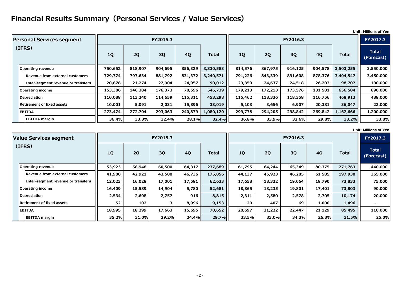### **Financial Results Summary(Personal Services / Value Services)**

**Unit: Millions of Yen**

**Unit: Millions of Yen**

|                                        |           |         |           |           |              |           |         |           |           |              | ווט ויווויוויווווט ווע     |
|----------------------------------------|-----------|---------|-----------|-----------|--------------|-----------|---------|-----------|-----------|--------------|----------------------------|
| <b>Personal Services segment</b>       |           |         | FY2015.3  |           |              |           |         | FY2016.3  |           |              | FY2017.3                   |
| (IFRS)                                 | <b>1Q</b> | 2Q      | <b>3Q</b> | <b>4Q</b> | <b>Total</b> | <b>1Q</b> | 2Q      | <b>3Q</b> | <b>4Q</b> | <b>Total</b> | <b>Total</b><br>(Forecast) |
| <b>Operating revenue</b>               | 750,652   | 818,907 | 904,695   | 856,329   | 3,330,583    | 814,576   | 867,975 | 916,125   | 904,578   | 3,503,255    | 3,550,000                  |
| <b>Revenue from external customers</b> | 729,774   | 797,634 | 881,792   | 831,372   | 3,240,571    | 791,226   | 843,339 | 891,608   | 878,376   | 3,404,547    | 3,450,000                  |
| Inter-segment revenue or transfers     | 20,878    | 21,274  | 22,904    | 24,957    | 90,012       | 23,350    | 24,637  | 24,518    | 26,203    | 98,707       | 100,000                    |
| Operating income                       | 153,386   | 146,384 | 176,373   | 70,596    | 546,739      | 179,213   | 172,213 | 173,576   | 131,581   | 656,584      | 690,000                    |
| Depreciation                           | 110,088   | 113,240 | 114,659   | 115,311   | 453,298      | 115,462   | 118,336 | 118,358   | 116,756   | 468,913      | 488,000                    |
| <b>Retirement of fixed assets</b>      | 10,001    | 5,091   | 2,031     | 15,896    | 33,019       | 5,103     | 3,656   | 6,907     | 20,381    | 36,047       | 22,000                     |
| <b>EBITDA</b>                          | 273,474   | 272,704 | 293,063   | 240,879   | 1,080,120    | 299,778   | 294,205 | 298,842   | 269,842   | 1,162,666    | 1,200,000                  |
| <b>EBITDA margin</b>                   | 36.4%     | 33.3%   | 32.4%     | 28.1%     | 32.4%        | 36.8%     | 33.9%   | 32.6%     | 29.8%     | 33.2%        | 33.8%                      |

| <b>Value Services segment</b>          |           |           | FY2015.3 |           |              |        |        | FY2016.3 |           |              | FY2017.3                   |
|----------------------------------------|-----------|-----------|----------|-----------|--------------|--------|--------|----------|-----------|--------------|----------------------------|
| (IFRS)                                 | <b>1Q</b> | <b>2Q</b> | 3Q       | <b>4Q</b> | <b>Total</b> | 1Q     | 2Q     | 3Q       | <b>4Q</b> | <b>Total</b> | <b>Total</b><br>(Forecast) |
| <b>Operating revenue</b>               | 53,923    | 58,948    | 60,500   | 64,317    | 237,689      | 61,795 | 64,244 | 65,349   | 80,375    | 271,763      | 440,000                    |
| <b>Revenue from external customers</b> | 41,900    | 42,921    | 43,500   | 46,736    | 175,056      | 44,137 | 45,923 | 46,285   | 61,585    | 197,930      | 365,000                    |
| Inter-segment revenue or transfers     | 12,023    | 16,028    | 17,001   | 17,581    | 62,633       | 17,658 | 18,322 | 19,064   | 18,790    | 73,833       | 75,000                     |
| <b>Operating income</b>                | 16,409    | 15,589    | 14,904   | 5,780     | 52,681       | 18,365 | 18,235 | 19,801   | 17,401    | 73,803       | 90,000                     |
| Depreciation                           | 2,534     | 2,608     | 2,757    | 916       | 8,815        | 2,311  | 2,580  | 2,578    | 2,705     | 10,174       | 20,000                     |
| <b>Retirement of fixed assets</b>      | 52        | 102       |          | 8,996     | 9,153        | 20     | 407    | 69       | 1,000     | 1,496        |                            |
| <b>EBITDA</b>                          | 18,995    | 18,299    | 17,663   | 15,695    | 70,652       | 20,697 | 21,222 | 22,447   | 21,129    | 85,495       | 110,000                    |
| <b>EBITDA margin</b>                   | 35.2%     | 31.0%     | 29.2%    | 24.4%     | 29.7%        | 33.5%  | 33.0%  | 34.3%    | 26.3%     | 31.5%        | 25.0%                      |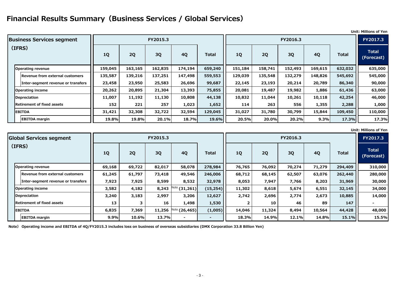### **Financial Results Summary(Business Services / Global Services)**

|  | <b>Unit: Millions of Yen</b> |  |
|--|------------------------------|--|
|--|------------------------------|--|

**Unit: Millions of Yen**

| <b>Business Services segment</b>   |           |         | FY2015.3 |           |              |           |         | FY2016.3 |           |              | <b>FY2017.3</b>            |
|------------------------------------|-----------|---------|----------|-----------|--------------|-----------|---------|----------|-----------|--------------|----------------------------|
| (IFRS)                             | <b>1Q</b> | 2Q      | 3Q       | <b>4Q</b> | <b>Total</b> | <b>1Q</b> | 2Q      | 3Q       | <b>4Q</b> | <b>Total</b> | <b>Total</b><br>(Forecast) |
| <b>Operating revenue</b>           | 159,045   | 163,165 | 162,835  | 174,194   | 659,240      | 151,184   | 158,741 | 152,493  | 169,615   | 632,032      | 635,000                    |
| Revenue from external customers    | 135,587   | 139,216 | 137,251  | 147,498   | 559,553      | 129,039   | 135,548 | 132,279  | 148,826   | 545,692      | 545,000                    |
| Inter-segment revenue or transfers | 23,458    | 23,950  | 25,583   | 26,696    | 99,687       | 22,145    | 23,193  | 20,214   | 20,789    | 86,340       | 90,000                     |
| <b>Operating income</b>            | 20,262    | 20,895  | 21,304   | 13,393    | 75,855       | 20,081    | 19,487  | 19,982   | 1,886     | 61,436       | 63,000                     |
| <b>Depreciation</b>                | 11,007    | 11,192  | 11,130   | 10,808    | 44,138       | 10,832    | 11,044  | 10,261   | 10,118    | 42,254       | 46,000                     |
| <b>Retirement of fixed assets</b>  | 152       | 221     | 257      | 1,023     | 1,652        | 114       | 263     | 556      | 1,355     | 2,288        | 1,000                      |
| <b>EBITDA</b>                      | 31,421    | 32,308  | 32,722   | 32,594    | 129,045      | 31,027    | 31,780  | 30,799   | 15,844    | 109,450      | 110,000                    |
| <b>EBITDA margin</b>               | 19.8%     | 19.8%   | 20.1%    | 18.7%     | 19.6%        | 20.5%     | 20.0%   | 20.2%    | 9.3%      | 17.3%        | 17.3%                      |

| <b>Global Services segment</b>     |        |        | FY2015.3  |                  |              | FY2016.3<br>3Q<br>2Q<br><b>4Q</b><br><b>1Q</b><br>76,765<br>76,092<br>70,274<br>71,279<br>68,145<br>68,712<br>62,507<br>63,076<br>8,053<br>7,947<br>7,766<br>8,203<br>8,618<br>5,674<br>11,302<br>6,551 |        |       |        |              | FY2017.3                   |
|------------------------------------|--------|--------|-----------|------------------|--------------|---------------------------------------------------------------------------------------------------------------------------------------------------------------------------------------------------------|--------|-------|--------|--------------|----------------------------|
| (IFRS)                             | 1Q     | 2Q     | <b>3Q</b> | <b>4Q</b>        | <b>Total</b> |                                                                                                                                                                                                         |        |       |        | <b>Total</b> | <b>Total</b><br>(Forecast) |
| <b>Operating revenue</b>           | 69,168 | 69,722 | 82,017    | 58,078           | 278,984      |                                                                                                                                                                                                         |        |       |        | 294,409      | 310,000                    |
| Revenue from external customers    | 61,245 | 61,797 | 73,418    | 49,546           | 246,006      |                                                                                                                                                                                                         |        |       |        | 262,440      | 280,000                    |
| Inter-segment revenue or transfers | 7,923  | 7,925  | 8,599     | 8,532            | 32,978       |                                                                                                                                                                                                         |        |       |        | 31,969       | 30,000                     |
| <b>Operating income</b>            | 3,582  | 4,182  | 8,243     | (31,261)         | (15, 254)    |                                                                                                                                                                                                         |        |       |        | 32,145       | 34,000                     |
| <b>Depreciation</b>                | 3,240  | 3,183  | 2,997     | 3,206            | 12,627       | 2,742                                                                                                                                                                                                   | 2,696  | 2,774 | 2,673  | 10,885       | 14,000                     |
| <b>Retirement of fixed assets</b>  | 13     | 3      | 16        | 1,498            | 1,530        |                                                                                                                                                                                                         | 10     | 46    | 89     | 147          |                            |
| <b>EBITDA</b>                      | 6,835  | 7,369  | 11,256    | Note $(26, 465)$ | (1,005)      | 14,046                                                                                                                                                                                                  | 11,324 | 8,494 | 10,564 | 44,428       | 48,000                     |
| <b>EBITDA margin</b>               | 9.9%   | 10.6%  | 13.7%     |                  |              | 18.3%                                                                                                                                                                                                   | 14.9%  | 12.1% | 14.8%  | 15.1%        | 15.5%                      |

**Note) Operating income and EBITDA of 4Q/FY2015.3 includes loss on business of overseas subsidiaries (DMX Corporation 33.8 Billion Yen)**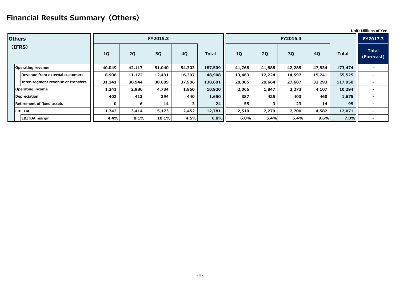## **Financial Results Summary(Others)**

|                                        |             |        |          |           |              |           |        |          |           |              | <b>Unit: Millions of Yen</b> |
|----------------------------------------|-------------|--------|----------|-----------|--------------|-----------|--------|----------|-----------|--------------|------------------------------|
| <b>Others</b>                          |             |        | FY2015.3 |           |              |           |        | FY2016.3 |           |              | FY2017.3                     |
| (IFRS)                                 | 1Q          | 2Q     | 3Q       | <b>4Q</b> | <b>Total</b> | <b>1Q</b> | 2Q     | 3Q       | <b>4Q</b> | <b>Total</b> | <b>Total</b><br>(Forecast)   |
| <b>Operating revenue</b>               | 40,049      | 42,117 | 51,040   | 54,303    | 187,509      | 41,768    | 41,888 | 42,285   | 47,534    | 173,474      |                              |
| <b>Revenue from external customers</b> | 8,908       | 11,172 | 12,431   | 16,397    | 48,908       | 13,463    | 12,224 | 14,597   | 15,241    | 55,525       |                              |
| Inter-segment revenue or transfers     | 31,141      | 30,944 | 38,609   | 37,906    | 138,601      | 28,305    | 29,664 | 27,687   | 32,293    | 117,950      |                              |
| <b>Operating income</b>                | 1,341       | 2,986  | 4,734    | 1,860     | 10,920       | 2,066     | 1,847  | 2,273    | 4,107     | 10,294       |                              |
| Depreciation                           | 402         | 413    | 394      | 440       | 1,650        | 387       | 425    | 403      | 460       | 1,675        |                              |
| <b>Retirement of fixed assets</b>      | $\mathbf 0$ | 6      | 14       | 3         | 24           | 55        | 3      | 23       | 14        | 95           |                              |
| <b>EBITDA</b>                          | 1,743       | 3,414  | 5,173    | 2,452     | 12,781       | 2,510     | 2,279  | 2,700    | 4,582     | 12,071       |                              |
| <b>EBITDA</b> margin                   | 4.4%        | 8.1%   | 10.1%    | 4.5%      | 6.8%         | 6.0%      | 5.4%   | 6.4%     | 9.6%      | 7.0%         |                              |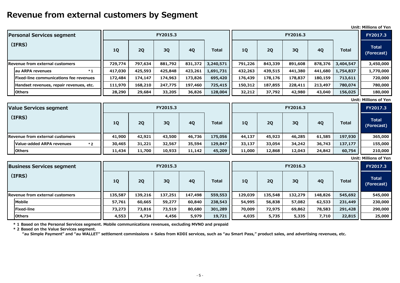## **Revenue from external customers by Segment**

**Unit: Millions of Yen**

**Unit: Millions of Yen**

| <b>Personal Services segment</b>              |         |         | FY2015.3 |           |              |         |         | FY2016.3 |           |              | <b>FY2017.3</b>               |
|-----------------------------------------------|---------|---------|----------|-----------|--------------|---------|---------|----------|-----------|--------------|-------------------------------|
| (IFRS)                                        | 1Q      | 2Q      | 3Q       | <b>4Q</b> | <b>Total</b> | 1Q      | 2Q      | 3Q       | <b>4Q</b> | <b>Total</b> | <b>Total</b><br>(Forecast)    |
| <b>Revenue from external customers</b>        | 729,774 | 797,634 | 881,792  | 831,372   | 3,240,571    | 791,226 | 843,339 | 891,608  | 878,376   | 3,404,547    | 3,450,000                     |
| au ARPA revenues<br>$*1$                      | 417,030 | 425,593 | 425,848  | 423,261   | 1,691,731    | 432,263 | 439,515 | 441,380  | 441,680   | 1,754,837    | 1,770,000                     |
| <b>Fixed-line communications fee revenues</b> | 172,484 | 174,147 | 174,963  | 173,826   | 695,420      | 176,439 | 178,176 | 178,837  | 180,159   | 713,611      | 720,000                       |
| Handset revenues, repair revenues, etc.       | 111,970 | 168,210 | 247,775  | 197,460   | 725,415      | 150,312 | 187,855 | 228,411  | 213,497   | 780,074      | 780,000                       |
| <b>Others</b>                                 | 28,290  | 29,684  | 33,205   | 36,826    | 128,004      | 32,212  | 37,792  | 42,980   | 43,040    | 156,025      | 180,000                       |
|                                               |         |         |          |           |              |         |         |          |           |              | <b>LInit: Millions of Von</b> |

| Value Services segment                   |        |        | FY2015.3 |           |              |           |        | FY2016.3 |        |              | <b>FY2017.3</b>     |
|------------------------------------------|--------|--------|----------|-----------|--------------|-----------|--------|----------|--------|--------------|---------------------|
| (IFRS)                                   | 1Q     | 2Q     | 3Q       | <b>4Q</b> | <b>Total</b> | <b>1Q</b> | 2Q     | 3Q       | 4Q     | <b>Total</b> | Total<br>(Forecast) |
| Revenue from external customers          | 41,900 | 42,921 | 43,500   | 46,736    | 175,056      | 44,137    | 45,923 | 46,285   | 61,585 | 197,930      | 365,000             |
| <b>Value-added ARPA revenues</b><br>$*2$ | 30,465 | 31,221 | 32,567   | 35,594    | 129,847      | 33,137    | 33,054 | 34,242   | 36,743 | 137,177      | 155,000             |
| <b>Others</b>                            | 11,434 | 11,700 | 10,933   | 11,142    | 45,209       | 11,000    | 12,868 | 12,043   | 24,842 | 60,754       | 210,000             |

| .3             |         |              | FY2017.3                     |
|----------------|---------|--------------|------------------------------|
|                | 4Q      | <b>Total</b> | <b>Total</b><br>(Forecast)   |
| 35             | 61,585  | 197,930      | 365,000                      |
| $\overline{2}$ | 36,743  | 137,177      | 155,000                      |
| 3              | 24,842  | 60,754       | 210,000                      |
|                |         |              | <b>Unit: Millions of Yen</b> |
|                |         |              |                              |
| .3             |         |              | FY2017.3                     |
|                | 4Q      | <b>Total</b> | <b>Total</b><br>(Forecast)   |
| '9             | 148,826 | 545,692      | 545,000                      |
| $\ddot{2}$     | 62,533  | 231,449      | 230,000                      |
| $\overline{2}$ | 78,583  | 291,428      | 290,000                      |

**\* 1 Based on the Personal Services segment. Mobile communications revenues, excluding MVNO and prepaid**

| <b>Business Services segment</b>       |           |         | FY2015.3 |         |              |         |         | FY2016.3 |           |              | <b>FY2017.3</b>     |
|----------------------------------------|-----------|---------|----------|---------|--------------|---------|---------|----------|-----------|--------------|---------------------|
| (IFRS)                                 | <b>1Q</b> | 2Q      | 3Q       | 4Q      | <b>Total</b> | 1Q      | 2Q      | 3Q       | <b>4Q</b> | <b>Total</b> | Total<br>(Forecast) |
| <b>Revenue from external customers</b> | 135,587   | 139,216 | 137,251  | 147,498 | 559,553      | 129,039 | 135,548 | 132,279  | 148,826   | 545,692      | 545,000             |
| Mobile                                 | 57,761    | 60,665  | 59,277   | 60,840  | 238,543      | 54,995  | 56,838  | 57,082   | 62,533    | 231,449      | 230,000             |
| <b>Fixed-line</b>                      | 73,273    | 73,816  | 73,519   | 80,680  | 301,289      | 70,009  | 72,975  | 69,862   | 78,583    | 291,428      | 290,000             |
| <b>Others</b>                          | 4,553     | 4,734   | 4,456    | 5,979   | 19,721       | 4,035   | 5,735   | 5,335    | 7,710     | 22,815       | 25,000              |

**\* 2 Based on the Value Services segment.**

 **"au Simple Payment" and "au WALLET" settlement commissions + Sales from KDDI services, such as "au Smart Pass," product sales, and advertising revenues, etc.**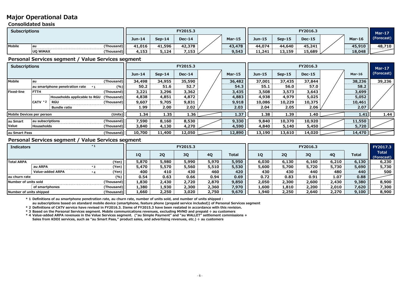#### **Major Operational Data**

#### **Consolidated basis**

#### **Personal Services segment / Value Services segment**

#### **Personal Services segment / Value Services segment**

| <b>Subscriptions</b> |          |                                                 |               |          | FY2015.3      |               |               |          | FY2016.3      |        | Mar-17     |
|----------------------|----------|-------------------------------------------------|---------------|----------|---------------|---------------|---------------|----------|---------------|--------|------------|
|                      |          |                                                 | <b>Jun-14</b> | $Sep-14$ | <b>Dec-14</b> | <b>Mar-15</b> | <b>Jun-15</b> | $Sep-15$ | <b>Dec-15</b> | Mar-16 | (Forecast) |
| <b>Mobile</b>        | au       | (Thousand)                                      | 41,016        | 41,596   | 42,378        | 43,478        | 44,074        | 44,640   | 45,241        | 45,910 | 48,710     |
|                      | UQ WIMAX | (Thousand)                                      | 4,153         | 5,124    | 7,153         | 9,543         | 11,241        | 13,159   | 15,689        | 18,048 |            |
|                      |          | Busined Burdens and and Utilian Burdens and and |               |          |               |               |               |          |               |        |            |

| <b>Subscriptions</b>                 |                                |            |          |          | FY2015.3 |               |          | Mar-17   |               |        |            |
|--------------------------------------|--------------------------------|------------|----------|----------|----------|---------------|----------|----------|---------------|--------|------------|
|                                      |                                |            | $Jun-14$ | $Sep-14$ | $Dec-14$ | <b>Mar-15</b> | $Jun-15$ | $Sep-15$ | <b>Dec-15</b> | Mar-16 | (Forecast) |
| <b>Mobile</b>                        | au                             | (Thousand) | 34,498   | 34,955   | 35,590   | 36,482        | 37,001   | 37,435   | 37,844        | 38,236 | 39,236     |
|                                      | au smartphone penetration rate | $(\% )$    | 50.2     | 51.6     | 52.7     | 54.3          | 55.1     | 56.0     | 57.0          | 58.2   |            |
| <b>Fixed-line</b>                    | <b>FTTH</b>                    | (Thousand) | 3,221    | 3,296    | 3,362    | 3,435         | 3,508    | 3,573    | 3,643         | 3,699  |            |
|                                      | Households applicable to RGU   | (Thousand) | 4,838    | 4,851    | 4,872    | 4,883         | 4,938    | 4,979    | 5,025         | 5,052  |            |
|                                      | CATV *2<br><b>RGU</b>          | (Thousand) | 9,607    | 9,705    | 9,831    | 9,918         | 10,086   | 10,229   | 10,375        | 10,461 |            |
|                                      | <b>Bundle ratio</b>            |            | 1.99     | 2.00     | 2.02     | 2.03          | 2.04     | 2.05     | 2.06          | 2.07   |            |
| (Units)<br>Mobile Devices per person |                                | 1.34       | 1.35     | 1.36     | 1.37     | 1.38          | 1.39     | 1.40     | 1.41          | 1.44   |            |
| au Smart                             | au subscriptions               | (Thousand) | 7,590    | 8,160    | 8,530    | 9,330         | 9,840    | 10,370   | 10,920        | 11,550 |            |
| <b>Value</b>                         | Households                     | (Thousand) | 3,840    | 4,130    | 4,270    | 4,590         | 4,840    | 5,140    | 5,450         | 5,720  |            |
| (Thousand)<br>au Smart Pass          |                                | 10,700     | 11,400   | 12,050   | 12,890   | 13,190        | 13,610   | 14,020   | 14,470        |        |            |

**\* 1 Definitions of au smartphone penetration rate, au churn rate, number of units sold, and number of units shipped :** 

**au subscriptions based on standard mobile device (smartphone, feature phone (prepaid service included)) of Personal Services segment**

| <b>Indicators</b>       |                         |                           |            |       |       | FY2015.3 |           |              |           | FY2017.3 |           |           |       |                            |
|-------------------------|-------------------------|---------------------------|------------|-------|-------|----------|-----------|--------------|-----------|----------|-----------|-----------|-------|----------------------------|
|                         |                         |                           |            | 1Q    | 2Q    | 3Q       | <b>4Q</b> | <b>Total</b> | <b>10</b> | 2Q       | <b>3Q</b> | <b>40</b> | Total | <b>Total</b><br>(Forecast) |
| <b>Total ARPA</b>       |                         |                           | (Yen)      | 5,870 | 5,980 | 5,990    | 5,970     | 5,950        | 6,030     | 6,130    | 6,160     | 6,210     | 6,130 | 6,230                      |
|                         | au ARPA                 | * ?                       | $Yen$ )    | 5,470 | 5,570 | 5,560    | 5,510     | 5,530        | 5,600     | 5,700    | 5,720     | 5,730     | 5,690 | 5,730                      |
|                         | <b>Value-added ARPA</b> | $*$ $\boldsymbol{\wedge}$ | (Yen)      | 400   | 410   | 430      | 460       | 420          | 430       | 430      | 440       | 480       | 440   | 500                        |
| au churn rate           |                         | (% )                      | 0.54       | 0.63  | 0.66  | 0.94     | 0.69      | 0.72         | 0.83      | 0.91     | 1.07      | 0.88      |       |                            |
| Number of units sold    |                         | (Thousand)                | 1,830      | 2,430 | 2,720 | 2,870    | 9,850     | 2,050        | 2,300     | 2,600    | 2,430     | 9,380     | 8,900 |                            |
|                         | of smartphones          |                           | (Thousand) | 1,380 | 1,930 | 2,300    | 2,360     | 7,970        | 1,600     | 1,810    | 2,200     | 2,010     | 7,620 | 7,300                      |
| Number of units shipped |                         | (Thousand)                | 1,660      | 2,250 | 3,020 | 2,750    | 9,670     | 1,940        | 2,250     | 2,640    | 2,270     | 9,100     | 8,900 |                            |

**\* 2 Definitions of CATV service have revised in FY2016.3. Items of FY2015.3 have been restated in accordance with this revision.**

**\* 3 Based on the Personal Services segment. Mobile communications revenues, excluding MVNO and prepaid ÷ au customers**

**\* 4 Value-added ARPA revenues in the Value Services segment. ("au Simple Payment" and "au WALLET" settlement commissions + Sales from KDDI services, such as "au Smart Pass," product sales, and advertising revenues, etc.) ÷ au customers**